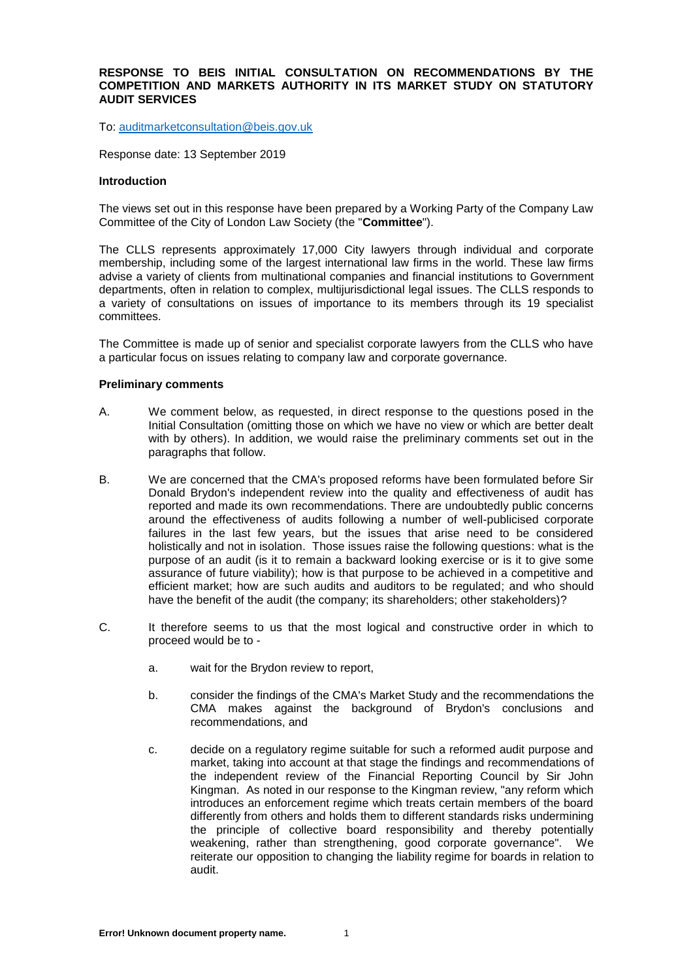## **RESPONSE TO BEIS INITIAL CONSULTATION ON RECOMMENDATIONS BY THE COMPETITION AND MARKETS AUTHORITY IN ITS MARKET STUDY ON STATUTORY AUDIT SERVICES**

To: [auditmarketconsultation@beis.gov.uk](http://auditmarketconsultationabeis.gov.uk/)

Response date: 13 September 2019

#### **Introduction**

The views set out in this response have been prepared by a Working Party of the Company Law Committee of the City of London Law Society (the "**Committee**").

The CLLS represents approximately 17,000 City lawyers through individual and corporate membership, including some of the largest international law firms in the world. These law firms advise a variety of clients from multinational companies and financial institutions to Government departments, often in relation to complex, multijurisdictional legal issues. The CLLS responds to a variety of consultations on issues of importance to its members through its 19 specialist committees.

The Committee is made up of senior and specialist corporate lawyers from the CLLS who have a particular focus on issues relating to company law and corporate governance.

#### **Preliminary comments**

- A. We comment below, as requested, in direct response to the questions posed in the Initial Consultation (omitting those on which we have no view or which are better dealt with by others). In addition, we would raise the preliminary comments set out in the paragraphs that follow.
- B. We are concerned that the CMA's proposed reforms have been formulated before Sir Donald Brydon's independent review into the quality and effectiveness of audit has reported and made its own recommendations. There are undoubtedly public concerns around the effectiveness of audits following a number of well-publicised corporate failures in the last few years, but the issues that arise need to be considered holistically and not in isolation. Those issues raise the following questions: what is the purpose of an audit (is it to remain a backward looking exercise or is it to give some assurance of future viability); how is that purpose to be achieved in a competitive and efficient market; how are such audits and auditors to be regulated; and who should have the benefit of the audit (the company; its shareholders; other stakeholders)?
- C. It therefore seems to us that the most logical and constructive order in which to proceed would be to
	- a. wait for the Brydon review to report,
	- b. consider the findings of the CMA's Market Study and the recommendations the CMA makes against the background of Brydon's conclusions and recommendations, and
	- c. decide on a regulatory regime suitable for such a reformed audit purpose and market, taking into account at that stage the findings and recommendations of the independent review of the Financial Reporting Council by Sir John Kingman. As noted in our response to the Kingman review, "any reform which introduces an enforcement regime which treats certain members of the board differently from others and holds them to different standards risks undermining the principle of collective board responsibility and thereby potentially weakening, rather than strengthening, good corporate governance". We reiterate our opposition to changing the liability regime for boards in relation to audit.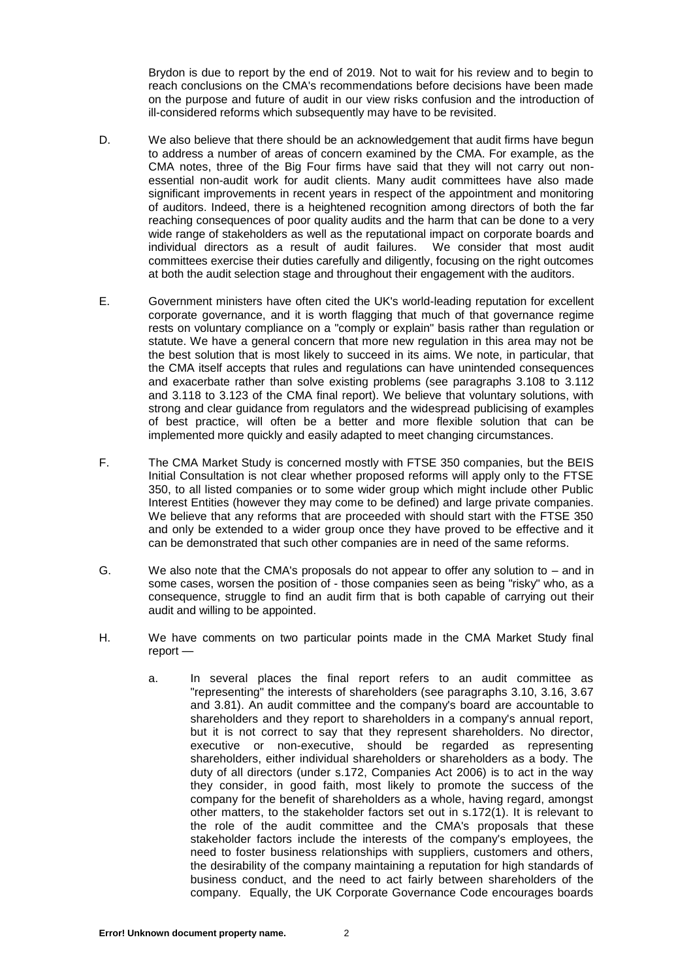Brydon is due to report by the end of 2019. Not to wait for his review and to begin to reach conclusions on the CMA's recommendations before decisions have been made on the purpose and future of audit in our view risks confusion and the introduction of ill-considered reforms which subsequently may have to be revisited.

- D. We also believe that there should be an acknowledgement that audit firms have begun to address a number of areas of concern examined by the CMA. For example, as the CMA notes, three of the Big Four firms have said that they will not carry out nonessential non-audit work for audit clients. Many audit committees have also made significant improvements in recent years in respect of the appointment and monitoring of auditors. Indeed, there is a heightened recognition among directors of both the far reaching consequences of poor quality audits and the harm that can be done to a very wide range of stakeholders as well as the reputational impact on corporate boards and individual directors as a result of audit failures. We consider that most audit committees exercise their duties carefully and diligently, focusing on the right outcomes at both the audit selection stage and throughout their engagement with the auditors.
- E. Government ministers have often cited the UK's world-leading reputation for excellent corporate governance, and it is worth flagging that much of that governance regime rests on voluntary compliance on a "comply or explain" basis rather than regulation or statute. We have a general concern that more new regulation in this area may not be the best solution that is most likely to succeed in its aims. We note, in particular, that the CMA itself accepts that rules and regulations can have unintended consequences and exacerbate rather than solve existing problems (see paragraphs 3.108 to 3.112 and 3.118 to 3.123 of the CMA final report). We believe that voluntary solutions, with strong and clear guidance from regulators and the widespread publicising of examples of best practice, will often be a better and more flexible solution that can be implemented more quickly and easily adapted to meet changing circumstances.
- F. The CMA Market Study is concerned mostly with FTSE 350 companies, but the BEIS Initial Consultation is not clear whether proposed reforms will apply only to the FTSE 350, to all listed companies or to some wider group which might include other Public Interest Entities (however they may come to be defined) and large private companies. We believe that any reforms that are proceeded with should start with the FTSE 350 and only be extended to a wider group once they have proved to be effective and it can be demonstrated that such other companies are in need of the same reforms.
- G. We also note that the CMA's proposals do not appear to offer any solution to and in some cases, worsen the position of - those companies seen as being "risky" who, as a consequence, struggle to find an audit firm that is both capable of carrying out their audit and willing to be appointed.
- H. We have comments on two particular points made in the CMA Market Study final report
	- a. In several places the final report refers to an audit committee as "representing" the interests of shareholders (see paragraphs 3.10, 3.16, 3.67 and 3.81). An audit committee and the company's board are accountable to shareholders and they report to shareholders in a company's annual report, but it is not correct to say that they represent shareholders. No director, executive or non-executive, should be regarded as representing shareholders, either individual shareholders or shareholders as a body. The duty of all directors (under s.172, Companies Act 2006) is to act in the way they consider, in good faith, most likely to promote the success of the company for the benefit of shareholders as a whole, having regard, amongst other matters, to the stakeholder factors set out in s.172(1). It is relevant to the role of the audit committee and the CMA's proposals that these stakeholder factors include the interests of the company's employees, the need to foster business relationships with suppliers, customers and others, the desirability of the company maintaining a reputation for high standards of business conduct, and the need to act fairly between shareholders of the company. Equally, the UK Corporate Governance Code encourages boards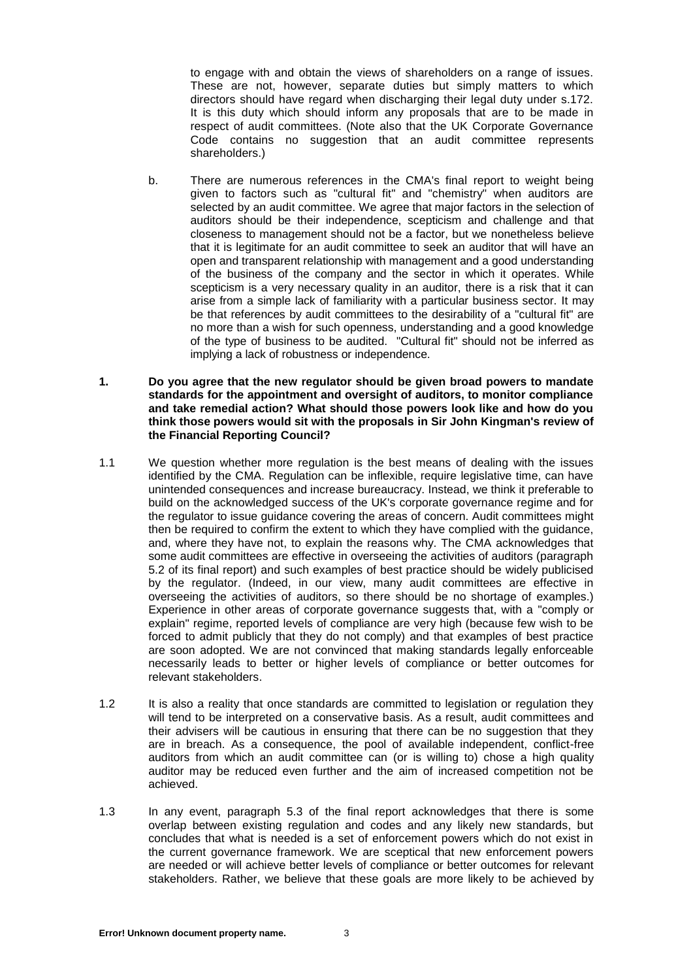to engage with and obtain the views of shareholders on a range of issues. These are not, however, separate duties but simply matters to which directors should have regard when discharging their legal duty under s.172. It is this duty which should inform any proposals that are to be made in respect of audit committees. (Note also that the UK Corporate Governance Code contains no suggestion that an audit committee represents shareholders.)

- b. There are numerous references in the CMA's final report to weight being given to factors such as "cultural fit" and "chemistry" when auditors are selected by an audit committee. We agree that major factors in the selection of auditors should be their independence, scepticism and challenge and that closeness to management should not be a factor, but we nonetheless believe that it is legitimate for an audit committee to seek an auditor that will have an open and transparent relationship with management and a good understanding of the business of the company and the sector in which it operates. While scepticism is a very necessary quality in an auditor, there is a risk that it can arise from a simple lack of familiarity with a particular business sector. It may be that references by audit committees to the desirability of a "cultural fit" are no more than a wish for such openness, understanding and a good knowledge of the type of business to be audited. "Cultural fit" should not be inferred as implying a lack of robustness or independence.
- **1. Do you agree that the new regulator should be given broad powers to mandate standards for the appointment and oversight of auditors, to monitor compliance and take remedial action? What should those powers look like and how do you think those powers would sit with the proposals in Sir John Kingman's review of the Financial Reporting Council?**
- 1.1 We question whether more regulation is the best means of dealing with the issues identified by the CMA. Regulation can be inflexible, require legislative time, can have unintended consequences and increase bureaucracy. Instead, we think it preferable to build on the acknowledged success of the UK's corporate governance regime and for the regulator to issue guidance covering the areas of concern. Audit committees might then be required to confirm the extent to which they have complied with the guidance, and, where they have not, to explain the reasons why. The CMA acknowledges that some audit committees are effective in overseeing the activities of auditors (paragraph 5.2 of its final report) and such examples of best practice should be widely publicised by the regulator. (Indeed, in our view, many audit committees are effective in overseeing the activities of auditors, so there should be no shortage of examples.) Experience in other areas of corporate governance suggests that, with a "comply or explain" regime, reported levels of compliance are very high (because few wish to be forced to admit publicly that they do not comply) and that examples of best practice are soon adopted. We are not convinced that making standards legally enforceable necessarily leads to better or higher levels of compliance or better outcomes for relevant stakeholders.
- 1.2 It is also a reality that once standards are committed to legislation or regulation they will tend to be interpreted on a conservative basis. As a result, audit committees and their advisers will be cautious in ensuring that there can be no suggestion that they are in breach. As a consequence, the pool of available independent, conflict-free auditors from which an audit committee can (or is willing to) chose a high quality auditor may be reduced even further and the aim of increased competition not be achieved.
- 1.3 In any event, paragraph 5.3 of the final report acknowledges that there is some overlap between existing regulation and codes and any likely new standards, but concludes that what is needed is a set of enforcement powers which do not exist in the current governance framework. We are sceptical that new enforcement powers are needed or will achieve better levels of compliance or better outcomes for relevant stakeholders. Rather, we believe that these goals are more likely to be achieved by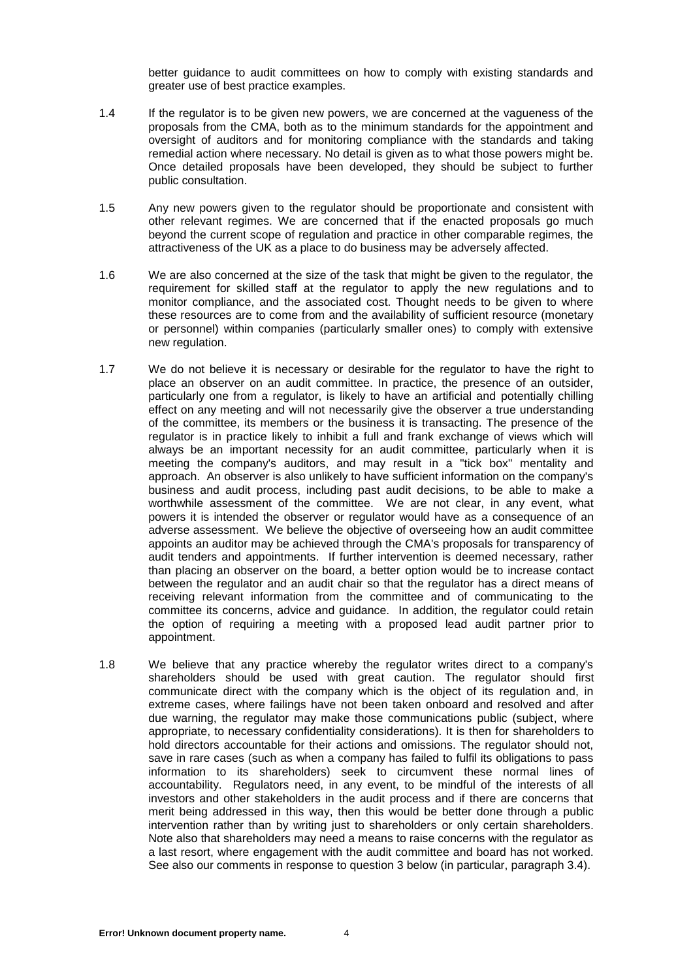better guidance to audit committees on how to comply with existing standards and greater use of best practice examples.

- 1.4 If the regulator is to be given new powers, we are concerned at the vagueness of the proposals from the CMA, both as to the minimum standards for the appointment and oversight of auditors and for monitoring compliance with the standards and taking remedial action where necessary. No detail is given as to what those powers might be. Once detailed proposals have been developed, they should be subject to further public consultation.
- 1.5 Any new powers given to the regulator should be proportionate and consistent with other relevant regimes. We are concerned that if the enacted proposals go much beyond the current scope of regulation and practice in other comparable regimes, the attractiveness of the UK as a place to do business may be adversely affected.
- 1.6 We are also concerned at the size of the task that might be given to the regulator, the requirement for skilled staff at the regulator to apply the new regulations and to monitor compliance, and the associated cost. Thought needs to be given to where these resources are to come from and the availability of sufficient resource (monetary or personnel) within companies (particularly smaller ones) to comply with extensive new regulation.
- 1.7 We do not believe it is necessary or desirable for the regulator to have the right to place an observer on an audit committee. In practice, the presence of an outsider, particularly one from a regulator, is likely to have an artificial and potentially chilling effect on any meeting and will not necessarily give the observer a true understanding of the committee, its members or the business it is transacting. The presence of the regulator is in practice likely to inhibit a full and frank exchange of views which will always be an important necessity for an audit committee, particularly when it is meeting the company's auditors, and may result in a "tick box" mentality and approach. An observer is also unlikely to have sufficient information on the company's business and audit process, including past audit decisions, to be able to make a worthwhile assessment of the committee. We are not clear, in any event, what powers it is intended the observer or regulator would have as a consequence of an adverse assessment. We believe the objective of overseeing how an audit committee appoints an auditor may be achieved through the CMA's proposals for transparency of audit tenders and appointments. If further intervention is deemed necessary, rather than placing an observer on the board, a better option would be to increase contact between the regulator and an audit chair so that the regulator has a direct means of receiving relevant information from the committee and of communicating to the committee its concerns, advice and guidance. In addition, the regulator could retain the option of requiring a meeting with a proposed lead audit partner prior to appointment.
- 1.8 We believe that any practice whereby the regulator writes direct to a company's shareholders should be used with great caution. The regulator should first communicate direct with the company which is the object of its regulation and, in extreme cases, where failings have not been taken onboard and resolved and after due warning, the regulator may make those communications public (subject, where appropriate, to necessary confidentiality considerations). It is then for shareholders to hold directors accountable for their actions and omissions. The regulator should not, save in rare cases (such as when a company has failed to fulfil its obligations to pass information to its shareholders) seek to circumvent these normal lines of accountability. Regulators need, in any event, to be mindful of the interests of all investors and other stakeholders in the audit process and if there are concerns that merit being addressed in this way, then this would be better done through a public intervention rather than by writing just to shareholders or only certain shareholders. Note also that shareholders may need a means to raise concerns with the regulator as a last resort, where engagement with the audit committee and board has not worked. See also our comments in response to question 3 below (in particular, paragraph 3.4).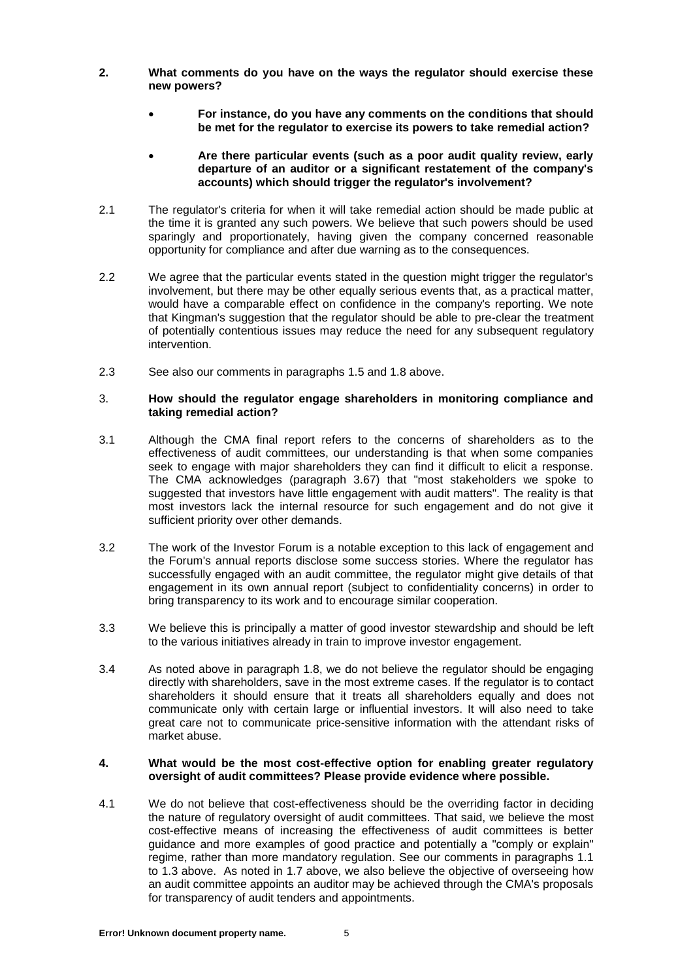- **2. What comments do you have on the ways the regulator should exercise these new powers?**
	- **For instance, do you have any comments on the conditions that should be met for the regulator to exercise its powers to take remedial action?**
	- **Are there particular events (such as a poor audit quality review, early departure of an auditor or a significant restatement of the company's accounts) which should trigger the regulator's involvement?**
- 2.1 The regulator's criteria for when it will take remedial action should be made public at the time it is granted any such powers. We believe that such powers should be used sparingly and proportionately, having given the company concerned reasonable opportunity for compliance and after due warning as to the consequences.
- 2.2 We agree that the particular events stated in the question might trigger the regulator's involvement, but there may be other equally serious events that, as a practical matter, would have a comparable effect on confidence in the company's reporting. We note that Kingman's suggestion that the regulator should be able to pre-clear the treatment of potentially contentious issues may reduce the need for any subsequent regulatory intervention.
- 2.3 See also our comments in paragraphs 1.5 and 1.8 above.

# 3. **How should the regulator engage shareholders in monitoring compliance and taking remedial action?**

- 3.1 Although the CMA final report refers to the concerns of shareholders as to the effectiveness of audit committees, our understanding is that when some companies seek to engage with major shareholders they can find it difficult to elicit a response. The CMA acknowledges (paragraph 3.67) that "most stakeholders we spoke to suggested that investors have little engagement with audit matters". The reality is that most investors lack the internal resource for such engagement and do not give it sufficient priority over other demands.
- 3.2 The work of the Investor Forum is a notable exception to this lack of engagement and the Forum's annual reports disclose some success stories. Where the regulator has successfully engaged with an audit committee, the regulator might give details of that engagement in its own annual report (subject to confidentiality concerns) in order to bring transparency to its work and to encourage similar cooperation.
- 3.3 We believe this is principally a matter of good investor stewardship and should be left to the various initiatives already in train to improve investor engagement.
- 3.4 As noted above in paragraph 1.8, we do not believe the regulator should be engaging directly with shareholders, save in the most extreme cases. If the regulator is to contact shareholders it should ensure that it treats all shareholders equally and does not communicate only with certain large or influential investors. It will also need to take great care not to communicate price-sensitive information with the attendant risks of market abuse.

## **4. What would be the most cost-effective option for enabling greater regulatory oversight of audit committees? Please provide evidence where possible.**

4.1 We do not believe that cost-effectiveness should be the overriding factor in deciding the nature of regulatory oversight of audit committees. That said, we believe the most cost-effective means of increasing the effectiveness of audit committees is better guidance and more examples of good practice and potentially a "comply or explain" regime, rather than more mandatory regulation. See our comments in paragraphs 1.1 to 1.3 above. As noted in 1.7 above, we also believe the objective of overseeing how an audit committee appoints an auditor may be achieved through the CMA's proposals for transparency of audit tenders and appointments.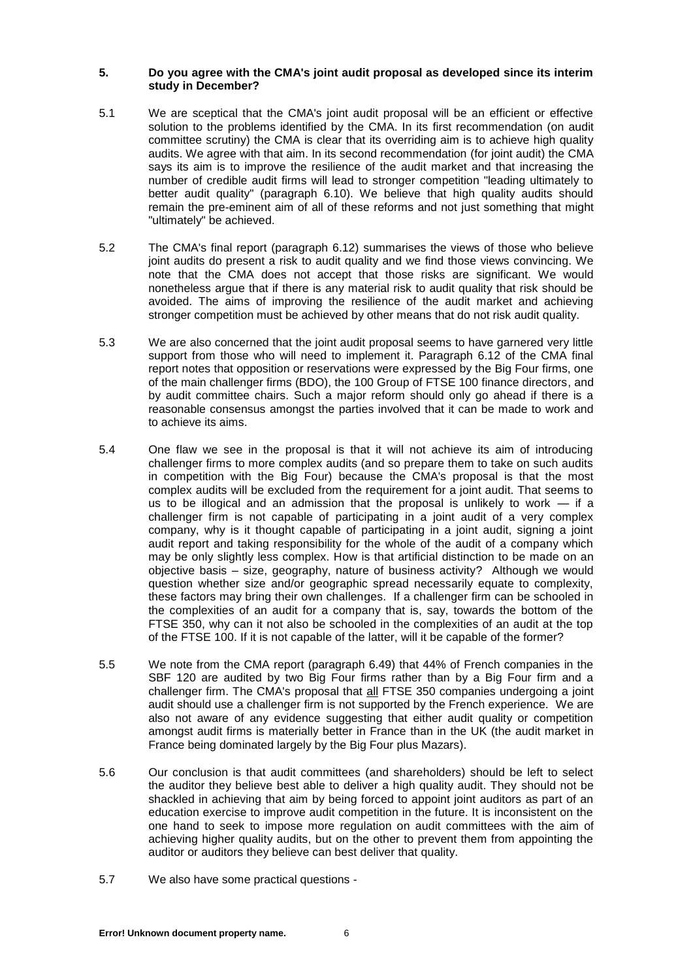## **5. Do you agree with the CMA's joint audit proposal as developed since its interim study in December?**

- 5.1 We are sceptical that the CMA's joint audit proposal will be an efficient or effective solution to the problems identified by the CMA. In its first recommendation (on audit committee scrutiny) the CMA is clear that its overriding aim is to achieve high quality audits. We agree with that aim. In its second recommendation (for joint audit) the CMA says its aim is to improve the resilience of the audit market and that increasing the number of credible audit firms will lead to stronger competition "leading ultimately to better audit quality" (paragraph 6.10). We believe that high quality audits should remain the pre-eminent aim of all of these reforms and not just something that might "ultimately" be achieved.
- 5.2 The CMA's final report (paragraph 6.12) summarises the views of those who believe joint audits do present a risk to audit quality and we find those views convincing. We note that the CMA does not accept that those risks are significant. We would nonetheless argue that if there is any material risk to audit quality that risk should be avoided. The aims of improving the resilience of the audit market and achieving stronger competition must be achieved by other means that do not risk audit quality.
- 5.3 We are also concerned that the joint audit proposal seems to have garnered very little support from those who will need to implement it. Paragraph 6.12 of the CMA final report notes that opposition or reservations were expressed by the Big Four firms, one of the main challenger firms (BDO), the 100 Group of FTSE 100 finance directors, and by audit committee chairs. Such a major reform should only go ahead if there is a reasonable consensus amongst the parties involved that it can be made to work and to achieve its aims.
- 5.4 One flaw we see in the proposal is that it will not achieve its aim of introducing challenger firms to more complex audits (and so prepare them to take on such audits in competition with the Big Four) because the CMA's proposal is that the most complex audits will be excluded from the requirement for a joint audit. That seems to us to be illogical and an admission that the proposal is unlikely to work — if a challenger firm is not capable of participating in a joint audit of a very complex company, why is it thought capable of participating in a joint audit, signing a joint audit report and taking responsibility for the whole of the audit of a company which may be only slightly less complex. How is that artificial distinction to be made on an objective basis – size, geography, nature of business activity? Although we would question whether size and/or geographic spread necessarily equate to complexity, these factors may bring their own challenges. If a challenger firm can be schooled in the complexities of an audit for a company that is, say, towards the bottom of the FTSE 350, why can it not also be schooled in the complexities of an audit at the top of the FTSE 100. If it is not capable of the latter, will it be capable of the former?
- 5.5 We note from the CMA report (paragraph 6.49) that 44% of French companies in the SBF 120 are audited by two Big Four firms rather than by a Big Four firm and a challenger firm. The CMA's proposal that all FTSE 350 companies undergoing a joint audit should use a challenger firm is not supported by the French experience. We are also not aware of any evidence suggesting that either audit quality or competition amongst audit firms is materially better in France than in the UK (the audit market in France being dominated largely by the Big Four plus Mazars).
- 5.6 Our conclusion is that audit committees (and shareholders) should be left to select the auditor they believe best able to deliver a high quality audit. They should not be shackled in achieving that aim by being forced to appoint joint auditors as part of an education exercise to improve audit competition in the future. It is inconsistent on the one hand to seek to impose more regulation on audit committees with the aim of achieving higher quality audits, but on the other to prevent them from appointing the auditor or auditors they believe can best deliver that quality.
- 5.7 We also have some practical questions -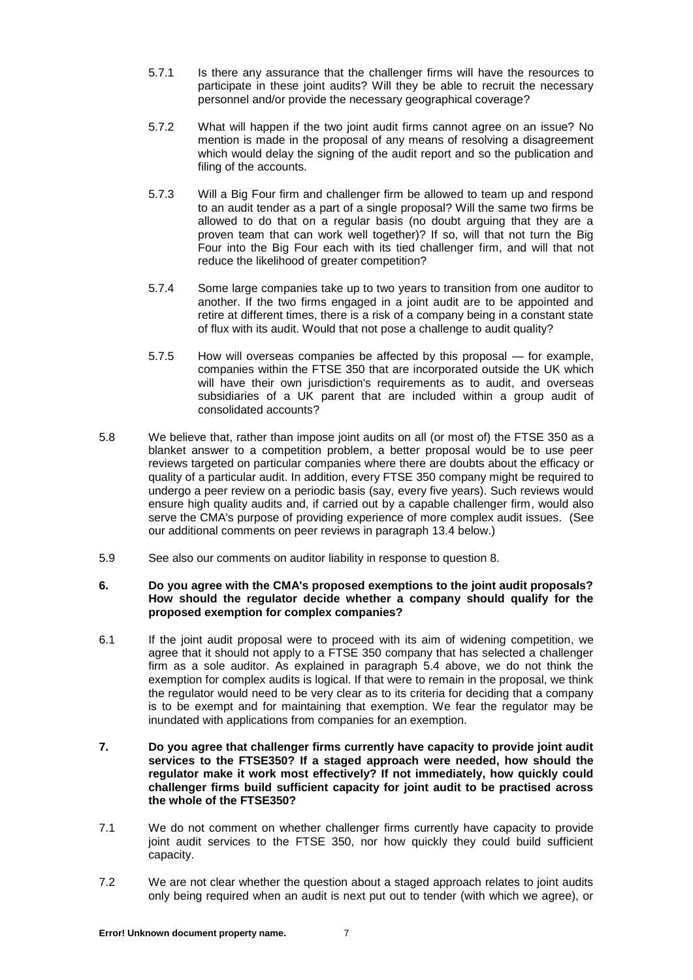- 5.7.1 Is there any assurance that the challenger firms will have the resources to participate in these joint audits? Will they be able to recruit the necessary personnel and/or provide the necessary geographical coverage?
- 5.7.2 What will happen if the two joint audit firms cannot agree on an issue? No mention is made in the proposal of any means of resolving a disagreement which would delay the signing of the audit report and so the publication and filing of the accounts.
- 5.7.3 Will a Big Four firm and challenger firm be allowed to team up and respond to an audit tender as a part of a single proposal? Will the same two firms be allowed to do that on a regular basis (no doubt arguing that they are a proven team that can work well together)? If so, will that not turn the Big Four into the Big Four each with its tied challenger firm, and will that not reduce the likelihood of greater competition?
- 5.7.4 Some large companies take up to two years to transition from one auditor to another. If the two firms engaged in a joint audit are to be appointed and retire at different times, there is a risk of a company being in a constant state of flux with its audit. Would that not pose a challenge to audit quality?
- 5.7.5 How will overseas companies be affected by this proposal for example, companies within the FTSE 350 that are incorporated outside the UK which will have their own jurisdiction's requirements as to audit, and overseas subsidiaries of a UK parent that are included within a group audit of consolidated accounts?
- 5.8 We believe that, rather than impose joint audits on all (or most of) the FTSE 350 as a blanket answer to a competition problem, a better proposal would be to use peer reviews targeted on particular companies where there are doubts about the efficacy or quality of a particular audit. In addition, every FTSE 350 company might be required to undergo a peer review on a periodic basis (say, every five years). Such reviews would ensure high quality audits and, if carried out by a capable challenger firm, would also serve the CMA's purpose of providing experience of more complex audit issues. (See our additional comments on peer reviews in paragraph 13.4 below.)
- 5.9 See also our comments on auditor liability in response to question 8.

# **6. Do you agree with the CMA's proposed exemptions to the joint audit proposals? How should the regulator decide whether a company should qualify for the proposed exemption for complex companies?**

- 6.1 If the joint audit proposal were to proceed with its aim of widening competition, we agree that it should not apply to a FTSE 350 company that has selected a challenger firm as a sole auditor. As explained in paragraph 5.4 above, we do not think the exemption for complex audits is logical. If that were to remain in the proposal, we think the regulator would need to be very clear as to its criteria for deciding that a company is to be exempt and for maintaining that exemption. We fear the regulator may be inundated with applications from companies for an exemption.
- **7. Do you agree that challenger firms currently have capacity to provide joint audit services to the FTSE350? If a staged approach were needed, how should the regulator make it work most effectively? If not immediately, how quickly could challenger firms build sufficient capacity for joint audit to be practised across the whole of the FTSE350?**
- 7.1 We do not comment on whether challenger firms currently have capacity to provide joint audit services to the FTSE 350, nor how quickly they could build sufficient capacity.
- 7.2 We are not clear whether the question about a staged approach relates to joint audits only being required when an audit is next put out to tender (with which we agree), or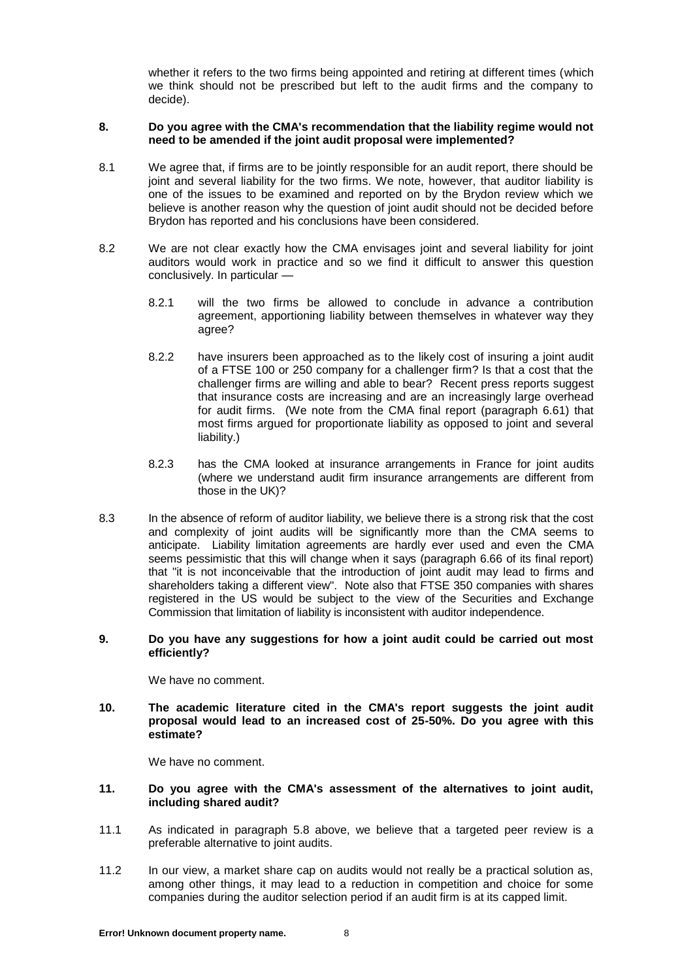whether it refers to the two firms being appointed and retiring at different times (which we think should not be prescribed but left to the audit firms and the company to decide).

# **8. Do you agree with the CMA's recommendation that the liability regime would not need to be amended if the joint audit proposal were implemented?**

- 8.1 We agree that, if firms are to be jointly responsible for an audit report, there should be joint and several liability for the two firms. We note, however, that auditor liability is one of the issues to be examined and reported on by the Brydon review which we believe is another reason why the question of joint audit should not be decided before Brydon has reported and his conclusions have been considered.
- 8.2 We are not clear exactly how the CMA envisages joint and several liability for joint auditors would work in practice and so we find it difficult to answer this question conclusively. In particular —
	- 8.2.1 will the two firms be allowed to conclude in advance a contribution agreement, apportioning liability between themselves in whatever way they agree?
	- 8.2.2 have insurers been approached as to the likely cost of insuring a joint audit of a FTSE 100 or 250 company for a challenger firm? Is that a cost that the challenger firms are willing and able to bear? Recent press reports suggest that insurance costs are increasing and are an increasingly large overhead for audit firms. (We note from the CMA final report (paragraph 6.61) that most firms argued for proportionate liability as opposed to joint and several liability.)
	- 8.2.3 has the CMA looked at insurance arrangements in France for joint audits (where we understand audit firm insurance arrangements are different from those in the UK)?
- 8.3 In the absence of reform of auditor liability, we believe there is a strong risk that the cost and complexity of joint audits will be significantly more than the CMA seems to anticipate. Liability limitation agreements are hardly ever used and even the CMA seems pessimistic that this will change when it says (paragraph 6.66 of its final report) that "it is not inconceivable that the introduction of joint audit may lead to firms and shareholders taking a different view". Note also that FTSE 350 companies with shares registered in the US would be subject to the view of the Securities and Exchange Commission that limitation of liability is inconsistent with auditor independence.

## **9. Do you have any suggestions for how a joint audit could be carried out most efficiently?**

We have no comment.

**10. The academic literature cited in the CMA's report suggests the joint audit proposal would lead to an increased cost of 25-50%. Do you agree with this estimate?**

We have no comment.

## **11. Do you agree with the CMA's assessment of the alternatives to joint audit, including shared audit?**

- 11.1 As indicated in paragraph 5.8 above, we believe that a targeted peer review is a preferable alternative to joint audits.
- 11.2 In our view, a market share cap on audits would not really be a practical solution as, among other things, it may lead to a reduction in competition and choice for some companies during the auditor selection period if an audit firm is at its capped limit.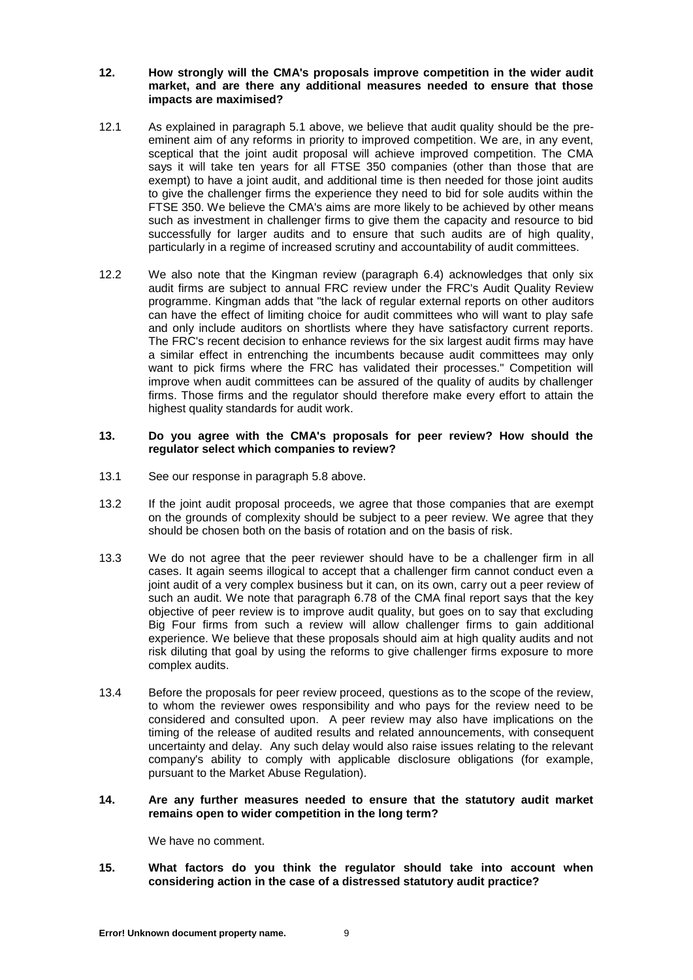#### **12. How strongly will the CMA's proposals improve competition in the wider audit market, and are there any additional measures needed to ensure that those impacts are maximised?**

- 12.1 As explained in paragraph 5.1 above, we believe that audit quality should be the preeminent aim of any reforms in priority to improved competition. We are, in any event, sceptical that the joint audit proposal will achieve improved competition. The CMA says it will take ten years for all FTSE 350 companies (other than those that are exempt) to have a joint audit, and additional time is then needed for those joint audits to give the challenger firms the experience they need to bid for sole audits within the FTSE 350. We believe the CMA's aims are more likely to be achieved by other means such as investment in challenger firms to give them the capacity and resource to bid successfully for larger audits and to ensure that such audits are of high quality, particularly in a regime of increased scrutiny and accountability of audit committees.
- 12.2 We also note that the Kingman review (paragraph 6.4) acknowledges that only six audit firms are subject to annual FRC review under the FRC's Audit Quality Review programme. Kingman adds that "the lack of regular external reports on other auditors can have the effect of limiting choice for audit committees who will want to play safe and only include auditors on shortlists where they have satisfactory current reports. The FRC's recent decision to enhance reviews for the six largest audit firms may have a similar effect in entrenching the incumbents because audit committees may only want to pick firms where the FRC has validated their processes." Competition will improve when audit committees can be assured of the quality of audits by challenger firms. Those firms and the regulator should therefore make every effort to attain the highest quality standards for audit work.

#### **13. Do you agree with the CMA's proposals for peer review? How should the regulator select which companies to review?**

- 13.1 See our response in paragraph 5.8 above.
- 13.2 If the joint audit proposal proceeds, we agree that those companies that are exempt on the grounds of complexity should be subject to a peer review. We agree that they should be chosen both on the basis of rotation and on the basis of risk.
- 13.3 We do not agree that the peer reviewer should have to be a challenger firm in all cases. It again seems illogical to accept that a challenger firm cannot conduct even a joint audit of a very complex business but it can, on its own, carry out a peer review of such an audit. We note that paragraph 6.78 of the CMA final report says that the key objective of peer review is to improve audit quality, but goes on to say that excluding Big Four firms from such a review will allow challenger firms to gain additional experience. We believe that these proposals should aim at high quality audits and not risk diluting that goal by using the reforms to give challenger firms exposure to more complex audits.
- 13.4 Before the proposals for peer review proceed, questions as to the scope of the review, to whom the reviewer owes responsibility and who pays for the review need to be considered and consulted upon. A peer review may also have implications on the timing of the release of audited results and related announcements, with consequent uncertainty and delay. Any such delay would also raise issues relating to the relevant company's ability to comply with applicable disclosure obligations (for example, pursuant to the Market Abuse Regulation).

## **14. Are any further measures needed to ensure that the statutory audit market remains open to wider competition in the long term?**

We have no comment.

**15. What factors do you think the regulator should take into account when considering action in the case of a distressed statutory audit practice?**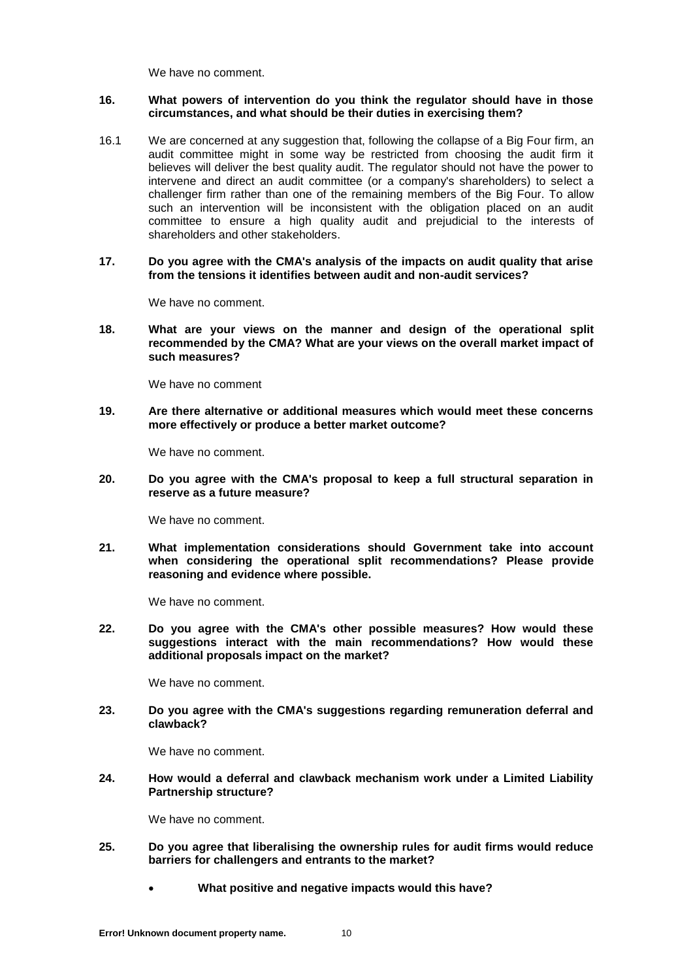We have no comment.

# **16. What powers of intervention do you think the regulator should have in those circumstances, and what should be their duties in exercising them?**

- 16.1 We are concerned at any suggestion that, following the collapse of a Big Four firm, an audit committee might in some way be restricted from choosing the audit firm it believes will deliver the best quality audit. The regulator should not have the power to intervene and direct an audit committee (or a company's shareholders) to select a challenger firm rather than one of the remaining members of the Big Four. To allow such an intervention will be inconsistent with the obligation placed on an audit committee to ensure a high quality audit and prejudicial to the interests of shareholders and other stakeholders.
- **17. Do you agree with the CMA's analysis of the impacts on audit quality that arise from the tensions it identifies between audit and non-audit services?**

We have no comment.

**18. What are your views on the manner and design of the operational split recommended by the CMA? What are your views on the overall market impact of such measures?**

We have no comment

**19. Are there alternative or additional measures which would meet these concerns more effectively or produce a better market outcome?**

We have no comment.

**20. Do you agree with the CMA's proposal to keep a full structural separation in reserve as a future measure?**

We have no comment.

**21. What implementation considerations should Government take into account when considering the operational split recommendations? Please provide reasoning and evidence where possible.**

We have no comment.

**22. Do you agree with the CMA's other possible measures? How would these suggestions interact with the main recommendations? How would these additional proposals impact on the market?**

We have no comment.

**23. Do you agree with the CMA's suggestions regarding remuneration deferral and clawback?** 

We have no comment.

**24. How would a deferral and clawback mechanism work under a Limited Liability Partnership structure?**

We have no comment.

- **25. Do you agree that liberalising the ownership rules for audit firms would reduce barriers for challengers and entrants to the market?**
	- **What positive and negative impacts would this have?**